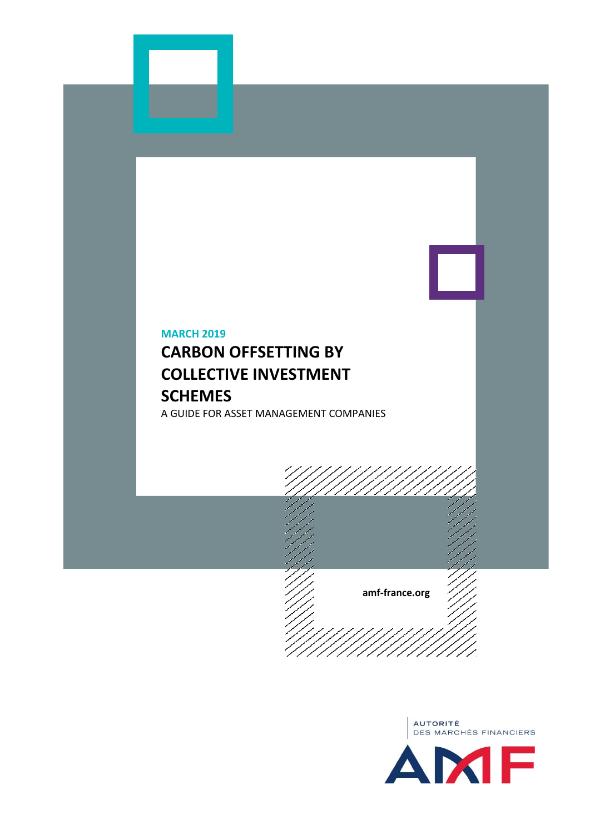# **MARCH 2019**

# **CARBON OFFSETTING BY COLLECTIVE INVESTMENT SCHEMES**

A GUIDE FOR ASSET MANAGEMENT COMPANIES



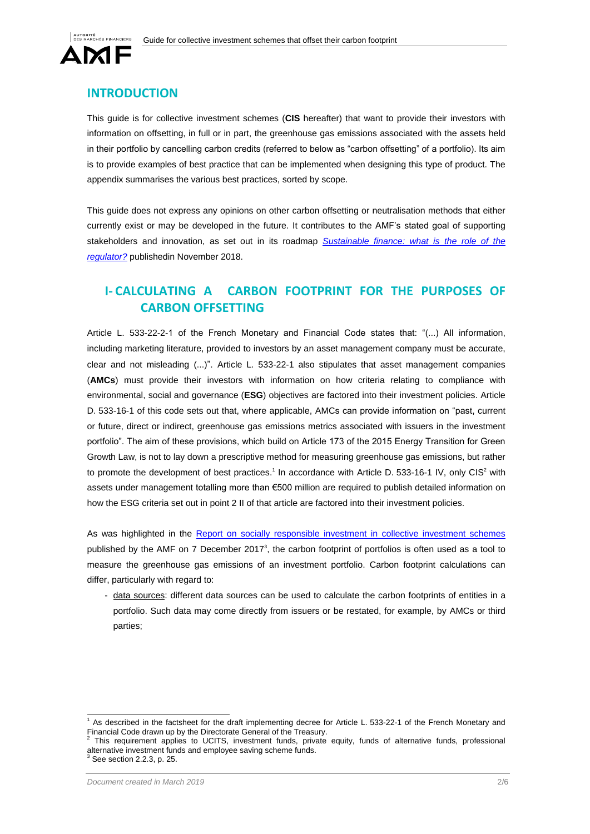



## **INTRODUCTION**

This guide is for collective investment schemes (**CIS** hereafter) that want to provide their investors with information on offsetting, in full or in part, the greenhouse gas emissions associated with the assets held in their portfolio by cancelling carbon credits (referred to below as "carbon offsetting" of a portfolio). Its aim is to provide examples of best practice that can be implemented when designing this type of product. The appendix summarises the various best practices, sorted by scope.

This guide does not express any opinions on other carbon offsetting or neutralisation methods that either currently exist or may be developed in the future. It contributes to the AMF's stated goal of supporting stakeholders and innovation, as set out in its roadmap *[Sustainable finance: what is the role of the](https://www.amf-france.org/en_US/Reglementation/Dossiers-thematiques/l-AMF/Plan-strategique-de-l-AMF/Finance-Durable---Quel-r-le-pour-le-r-gulateur---Feuille-de-route-AMF?langSwitch=true)  [regulator?](https://www.amf-france.org/en_US/Reglementation/Dossiers-thematiques/l-AMF/Plan-strategique-de-l-AMF/Finance-Durable---Quel-r-le-pour-le-r-gulateur---Feuille-de-route-AMF?langSwitch=true)* publishedin November 2018.

# **I- CALCULATING A CARBON FOOTPRINT FOR THE PURPOSES OF CARBON OFFSETTING**

Article L. 533-22-2-1 of the French Monetary and Financial Code states that: "(...) All information, including marketing literature, provided to investors by an asset management company must be accurate, clear and not misleading (...)". Article L. 533-22-1 also stipulates that asset management companies (**AMCs**) must provide their investors with information on how criteria relating to compliance with environmental, social and governance (**ESG**) objectives are factored into their investment policies. Article D. 533-16-1 of this code sets out that, where applicable, AMCs can provide information on "past, current or future, direct or indirect, greenhouse gas emissions metrics associated with issuers in the investment portfolio". The aim of these provisions, which build on Article 173 of the 2015 Energy Transition for Green Growth Law, is not to lay down a prescriptive method for measuring greenhouse gas emissions, but rather to promote the development of best practices.<sup>1</sup> In accordance with Article D. 533-16-1 IV, only CIS<sup>2</sup> with assets under management totalling more than €500 million are required to publish detailed information on how the ESG criteria set out in point 2 II of that article are factored into their investment policies.

As was highlighted in the [Report on socially responsible investment in collective investment schemes](https://www.amf-france.org/en_US/Publications/Rapports-etudes-et-analyses/Epargne-et-prestataires?docId=workspace%3A%2F%2FSpacesStore%2F2e257eee-d2e0-4a99-9264-4b3311073060&langSwitch=true) published by the AMF on 7 December  $2017<sup>3</sup>$ , the carbon footprint of portfolios is often used as a tool to measure the greenhouse gas emissions of an investment portfolio. Carbon footprint calculations can differ, particularly with regard to:

- data sources: different data sources can be used to calculate the carbon footprints of entities in a portfolio. Such data may come directly from issuers or be restated, for example, by AMCs or third parties;

 1 As described in the factsheet for the draft implementing decree for Article L. 533-22-1 of the French Monetary and Financial Code drawn up by the Directorate General of the Treasury.<br><sup>2</sup>. This requirement englise to UCITS, investment funde, private

This requirement applies to UCITS, investment funds, private equity, funds of alternative funds, professional alternative investment funds and employee saving scheme funds.<br><sup>3</sup> See section 2.2.3, p. 25.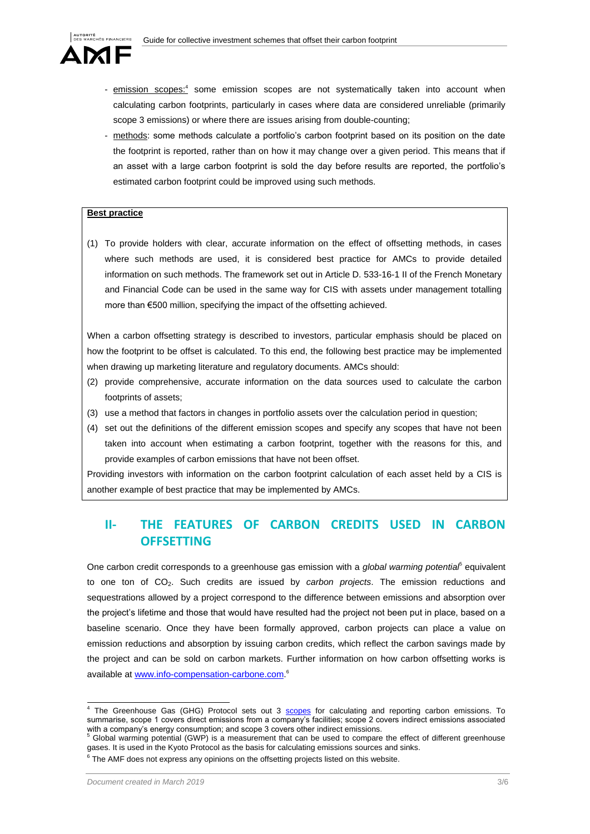

- emission scopes:<sup>4</sup> some emission scopes are not systematically taken into account when calculating carbon footprints, particularly in cases where data are considered unreliable (primarily scope 3 emissions) or where there are issues arising from double-counting;
- methods: some methods calculate a portfolio's carbon footprint based on its position on the date the footprint is reported, rather than on how it may change over a given period. This means that if an asset with a large carbon footprint is sold the day before results are reported, the portfolio's estimated carbon footprint could be improved using such methods.

#### **Best practice**

(1) To provide holders with clear, accurate information on the effect of offsetting methods, in cases where such methods are used, it is considered best practice for AMCs to provide detailed information on such methods. The framework set out in Article D. 533-16-1 II of the French Monetary and Financial Code can be used in the same way for CIS with assets under management totalling more than €500 million, specifying the impact of the offsetting achieved.

When a carbon offsetting strategy is described to investors, particular emphasis should be placed on how the footprint to be offset is calculated. To this end, the following best practice may be implemented when drawing up marketing literature and regulatory documents. AMCs should:

- (2) provide comprehensive, accurate information on the data sources used to calculate the carbon footprints of assets;
- (3) use a method that factors in changes in portfolio assets over the calculation period in question;
- (4) set out the definitions of the different emission scopes and specify any scopes that have not been taken into account when estimating a carbon footprint, together with the reasons for this, and provide examples of carbon emissions that have not been offset.

Providing investors with information on the carbon footprint calculation of each asset held by a CIS is another example of best practice that may be implemented by AMCs.

## **II- THE FEATURES OF CARBON CREDITS USED IN CARBON OFFSETTING**

One carbon credit corresponds to a greenhouse gas emission with a *global warming potential*<sup>5</sup> equivalent to one ton of CO2. Such credits are issued by *carbon projects*. The emission reductions and sequestrations allowed by a project correspond to the difference between emissions and absorption over the project's lifetime and those that would have resulted had the project not been put in place, based on a baseline scenario. Once they have been formally approved, carbon projects can place a value on emission reductions and absorption by issuing carbon credits, which reflect the carbon savings made by the project and can be sold on carbon markets. Further information on how carbon offsetting works is available at [www.info-compensation-carbone.com.](http://www.info-compensation-carbone.com/)<sup>6</sup>

<sup>4&</sup>lt;br>The Greenhouse Gas (GHG) Protocol sets out 3 **[scopes](https://ghgprotocol.org/corporate-standard)** for calculating and reporting carbon emissions. To summarise, scope 1 covers direct emissions from a company's facilities; scope 2 covers indirect emissions associated with a company's energy consumption; and scope 3 covers other indirect emissions.

<sup>5</sup> Global warming potential (GWP) is a measurement that can be used to compare the effect of different greenhouse gases. It is used in the Kyoto Protocol as the basis for calculating emissions sources and sinks.

 $6$  The AMF does not express any opinions on the offsetting projects listed on this website.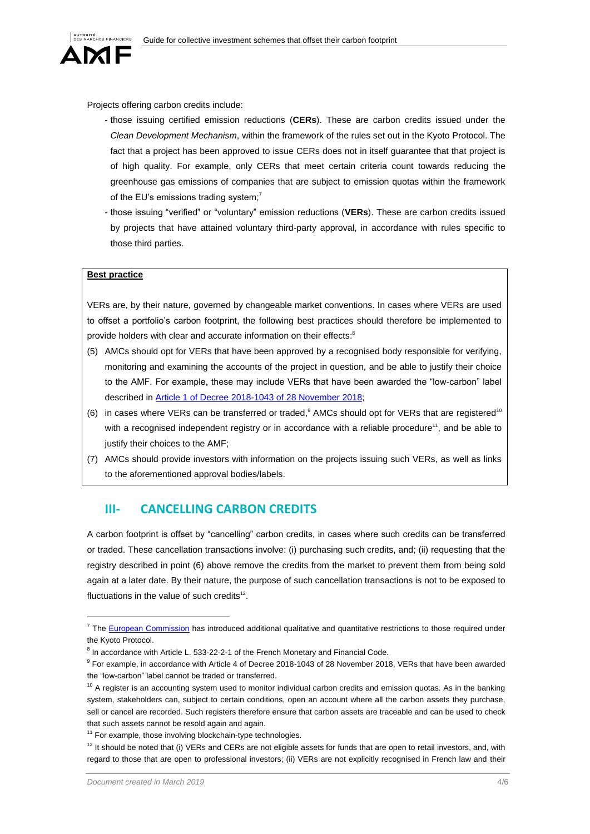

Projects offering carbon credits include:

- those issuing certified emission reductions (**CERs**). These are carbon credits issued under the *Clean Development Mechanism*, within the framework of the rules set out in the Kyoto Protocol. The fact that a project has been approved to issue CERs does not in itself guarantee that that project is of high quality. For example, only CERs that meet certain criteria count towards reducing the greenhouse gas emissions of companies that are subject to emission quotas within the framework of the EU's emissions trading system; $<sup>7</sup>$ </sup>
- those issuing "verified" or "voluntary" emission reductions (**VERs**). These are carbon credits issued by projects that have attained voluntary third-party approval, in accordance with rules specific to those third parties.

#### **Best practice**

VERs are, by their nature, governed by changeable market conventions. In cases where VERs are used to offset a portfolio's carbon footprint, the following best practices should therefore be implemented to provide holders with clear and accurate information on their effects:<sup>8</sup>

- (5) AMCs should opt for VERs that have been approved by a recognised body responsible for verifying, monitoring and examining the accounts of the project in question, and be able to justify their choice to the AMF. For example, these may include VERs that have been awarded the "low-carbon" label described in [Article 1 of Decree 2018-1043 of 28 November 2018;](https://www.legifrance.gouv.fr/affichTexte.do?cidTexte=JORFTEXT000037657959&categorieLien=cid)
- (6) in cases where VERs can be transferred or traded,<sup>9</sup> AMCs should opt for VERs that are registered<sup>10</sup> with a recognised independent registry or in accordance with a reliable procedure<sup>11</sup>, and be able to justify their choices to the AMF;
- (7) AMCs should provide investors with information on the projects issuing such VERs, as well as links to the aforementioned approval bodies/labels.

### **III- CANCELLING CARBON CREDITS**

A carbon footprint is offset by "cancelling" carbon credits, in cases where such credits can be transferred or traded. These cancellation transactions involve: (i) purchasing such credits, and; (ii) requesting that the registry described in point (6) above remove the credits from the market to prevent them from being sold again at a later date. By their nature, the purpose of such cancellation transactions is not to be exposed to fluctuations in the value of such credits<sup>12</sup>.

 $\overline{a}$ 

<sup>&</sup>lt;sup>7</sup> The [European Commission](https://ec.europa.eu/clima/policies/ets/credits_en) has introduced additional qualitative and quantitative restrictions to those required under the Kyoto Protocol.

 $^8$  In accordance with Article L. 533-22-2-1 of the French Monetary and Financial Code.

<sup>&</sup>lt;sup>9</sup> For example, in accordance with Article 4 of Decree 2018-1043 of 28 November 2018, VERs that have been awarded the "low-carbon" label cannot be traded or transferred.

 $10$  A register is an accounting system used to monitor individual carbon credits and emission quotas. As in the banking system, stakeholders can, subject to certain conditions, open an account where all the carbon assets they purchase, sell or cancel are recorded. Such registers therefore ensure that carbon assets are traceable and can be used to check that such assets cannot be resold again and again.

 $11$  For example, those involving blockchain-type technologies.

 $12$  It should be noted that (i) VERs and CERs are not eligible assets for funds that are open to retail investors, and, with regard to those that are open to professional investors; (ii) VERs are not explicitly recognised in French law and their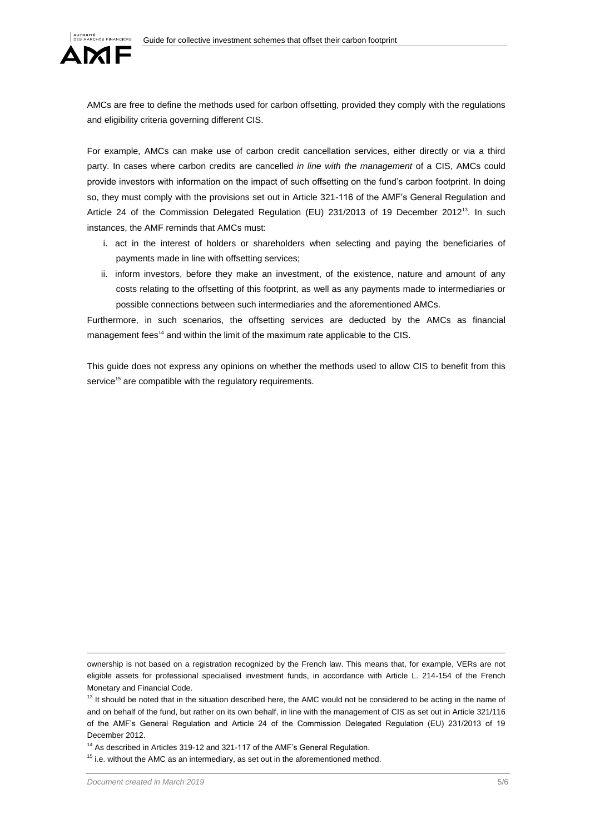

AMCs are free to define the methods used for carbon offsetting, provided they comply with the regulations and eligibility criteria governing different CIS.

For example, AMCs can make use of carbon credit cancellation services, either directly or via a third party. In cases where carbon credits are cancelled *in line with the management* of a CIS, AMCs could provide investors with information on the impact of such offsetting on the fund's carbon footprint. In doing so, they must comply with the provisions set out in Article 321-116 of the AMF's General Regulation and Article 24 of the Commission Delegated Regulation (EU) 231/2013 of 19 December 2012<sup>13</sup>. In such instances, the AMF reminds that AMCs must:

- i. act in the interest of holders or shareholders when selecting and paying the beneficiaries of payments made in line with offsetting services;
- ii. inform investors, before they make an investment, of the existence, nature and amount of any costs relating to the offsetting of this footprint, as well as any payments made to intermediaries or possible connections between such intermediaries and the aforementioned AMCs.

Furthermore, in such scenarios, the offsetting services are deducted by the AMCs as financial management fees<sup>14</sup> and within the limit of the maximum rate applicable to the CIS.

This guide does not express any opinions on whether the methods used to allow CIS to benefit from this service<sup>15</sup> are compatible with the regulatory requirements.

 $\overline{a}$ 

ownership is not based on a registration recognized by the French law. This means that, for example, VERs are not eligible assets for professional specialised investment funds, in accordance with Article L. 214-154 of the French Monetary and Financial Code.

<sup>&</sup>lt;sup>13</sup> It should be noted that in the situation described here, the AMC would not be considered to be acting in the name of and on behalf of the fund, but rather on its own behalf, in line with the management of CIS as set out in Article 321/116 of the AMF's General Regulation and Article 24 of the Commission Delegated Regulation (EU) 231/2013 of 19 December 2012.

<sup>&</sup>lt;sup>14</sup> As described in Articles 319-12 and 321-117 of the AMF's General Regulation.

 $15$  i.e. without the AMC as an intermediary, as set out in the aforementioned method.